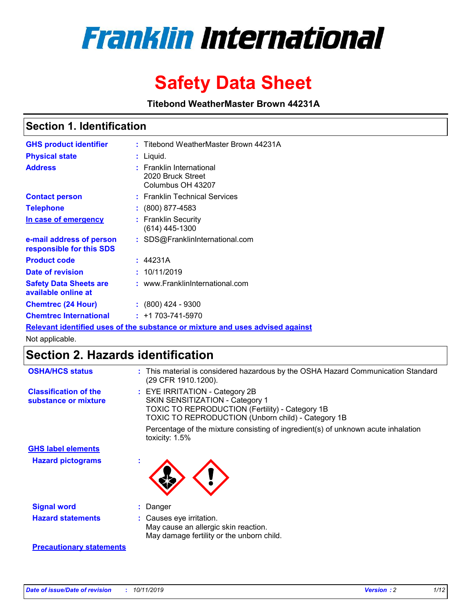

# **Safety Data Sheet**

**Titebond WeatherMaster Brown 44231A**

### **Section 1. Identification**

| <b>GHS product identifier</b>                        | : Titebond WeatherMaster Brown 44231A                                         |
|------------------------------------------------------|-------------------------------------------------------------------------------|
| <b>Physical state</b>                                | : Liquid.                                                                     |
| <b>Address</b>                                       | <b>Franklin International</b><br>2020 Bruck Street<br>Columbus OH 43207       |
| <b>Contact person</b>                                | : Franklin Technical Services                                                 |
| <b>Telephone</b>                                     | $\div$ (800) 877-4583                                                         |
| In case of emergency                                 | : Franklin Security<br>(614) 445-1300                                         |
| e-mail address of person<br>responsible for this SDS | : SDS@FranklinInternational.com                                               |
| <b>Product code</b>                                  | : 44231A                                                                      |
| Date of revision                                     | : 10/11/2019                                                                  |
| <b>Safety Data Sheets are</b><br>available online at | : www.FranklinInternational.com                                               |
| <b>Chemtrec (24 Hour)</b>                            | $: (800)$ 424 - 9300                                                          |
| <b>Chemtrec International</b>                        | $: +1703 - 741 - 5970$                                                        |
|                                                      | Relevant identified uses of the substance or mixture and uses advised against |

Not applicable.

# **Section 2. Hazards identification**

| <b>OSHA/HCS status</b>                               | : This material is considered hazardous by the OSHA Hazard Communication Standard<br>(29 CFR 1910.1200).                                                                          |
|------------------------------------------------------|-----------------------------------------------------------------------------------------------------------------------------------------------------------------------------------|
| <b>Classification of the</b><br>substance or mixture | : EYE IRRITATION - Category 2B<br>SKIN SENSITIZATION - Category 1<br><b>TOXIC TO REPRODUCTION (Fertility) - Category 1B</b><br>TOXIC TO REPRODUCTION (Unborn child) - Category 1B |
|                                                      | Percentage of the mixture consisting of ingredient(s) of unknown acute inhalation<br>toxicity: $1.5\%$                                                                            |
| <b>GHS label elements</b>                            |                                                                                                                                                                                   |
| <b>Hazard pictograms</b>                             |                                                                                                                                                                                   |
| <b>Signal word</b>                                   | : Danger                                                                                                                                                                          |
| <b>Hazard statements</b>                             | : Causes eye irritation.<br>May cause an allergic skin reaction.<br>May damage fertility or the unborn child.                                                                     |
| <b>Precautionary statements</b>                      |                                                                                                                                                                                   |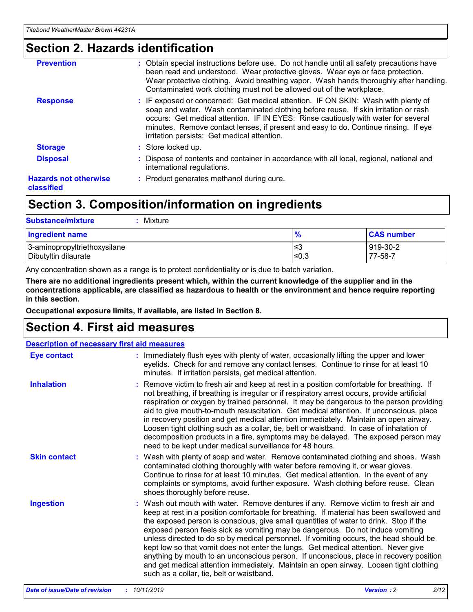### **Section 2. Hazards identification**

| <b>Prevention</b>                          | : Obtain special instructions before use. Do not handle until all safety precautions have<br>been read and understood. Wear protective gloves. Wear eye or face protection.<br>Wear protective clothing. Avoid breathing vapor. Wash hands thoroughly after handling.<br>Contaminated work clothing must not be allowed out of the workplace.                                                        |
|--------------------------------------------|------------------------------------------------------------------------------------------------------------------------------------------------------------------------------------------------------------------------------------------------------------------------------------------------------------------------------------------------------------------------------------------------------|
| <b>Response</b>                            | : IF exposed or concerned: Get medical attention. IF ON SKIN: Wash with plenty of<br>soap and water. Wash contaminated clothing before reuse. If skin irritation or rash<br>occurs: Get medical attention. IF IN EYES: Rinse cautiously with water for several<br>minutes. Remove contact lenses, if present and easy to do. Continue rinsing. If eye<br>irritation persists: Get medical attention. |
| <b>Storage</b>                             | : Store locked up.                                                                                                                                                                                                                                                                                                                                                                                   |
| <b>Disposal</b>                            | : Dispose of contents and container in accordance with all local, regional, national and<br>international regulations.                                                                                                                                                                                                                                                                               |
| <b>Hazards not otherwise</b><br>classified | : Product generates methanol during cure.                                                                                                                                                                                                                                                                                                                                                            |

### **Section 3. Composition/information on ingredients**

| <b>Substance/mixture</b><br>Mixture                  |                   |                     |
|------------------------------------------------------|-------------------|---------------------|
| <b>Ingredient name</b>                               | $\frac{9}{6}$     | <b>CAS number</b>   |
| 3-aminopropyltriethoxysilane<br>Dibutyltin dilaurate | l≤3<br>$\leq 0.3$ | 919-30-2<br>77-58-7 |

Any concentration shown as a range is to protect confidentiality or is due to batch variation.

**There are no additional ingredients present which, within the current knowledge of the supplier and in the concentrations applicable, are classified as hazardous to health or the environment and hence require reporting in this section.**

**Occupational exposure limits, if available, are listed in Section 8.**

### **Section 4. First aid measures**

| <b>Description of necessary first aid measures</b> |                                                                                                                                                                                                                                                                                                                                                                                                                                                                                                                                                                                                                                                                                                                                                                           |  |  |  |
|----------------------------------------------------|---------------------------------------------------------------------------------------------------------------------------------------------------------------------------------------------------------------------------------------------------------------------------------------------------------------------------------------------------------------------------------------------------------------------------------------------------------------------------------------------------------------------------------------------------------------------------------------------------------------------------------------------------------------------------------------------------------------------------------------------------------------------------|--|--|--|
| <b>Eye contact</b>                                 | : Immediately flush eyes with plenty of water, occasionally lifting the upper and lower<br>eyelids. Check for and remove any contact lenses. Continue to rinse for at least 10<br>minutes. If irritation persists, get medical attention.                                                                                                                                                                                                                                                                                                                                                                                                                                                                                                                                 |  |  |  |
| <b>Inhalation</b>                                  | : Remove victim to fresh air and keep at rest in a position comfortable for breathing. If<br>not breathing, if breathing is irregular or if respiratory arrest occurs, provide artificial<br>respiration or oxygen by trained personnel. It may be dangerous to the person providing<br>aid to give mouth-to-mouth resuscitation. Get medical attention. If unconscious, place<br>in recovery position and get medical attention immediately. Maintain an open airway.<br>Loosen tight clothing such as a collar, tie, belt or waistband. In case of inhalation of<br>decomposition products in a fire, symptoms may be delayed. The exposed person may<br>need to be kept under medical surveillance for 48 hours.                                                       |  |  |  |
| <b>Skin contact</b>                                | : Wash with plenty of soap and water. Remove contaminated clothing and shoes. Wash<br>contaminated clothing thoroughly with water before removing it, or wear gloves.<br>Continue to rinse for at least 10 minutes. Get medical attention. In the event of any<br>complaints or symptoms, avoid further exposure. Wash clothing before reuse. Clean<br>shoes thoroughly before reuse.                                                                                                                                                                                                                                                                                                                                                                                     |  |  |  |
| <b>Ingestion</b>                                   | : Wash out mouth with water. Remove dentures if any. Remove victim to fresh air and<br>keep at rest in a position comfortable for breathing. If material has been swallowed and<br>the exposed person is conscious, give small quantities of water to drink. Stop if the<br>exposed person feels sick as vomiting may be dangerous. Do not induce vomiting<br>unless directed to do so by medical personnel. If vomiting occurs, the head should be<br>kept low so that vomit does not enter the lungs. Get medical attention. Never give<br>anything by mouth to an unconscious person. If unconscious, place in recovery position<br>and get medical attention immediately. Maintain an open airway. Loosen tight clothing<br>such as a collar, tie, belt or waistband. |  |  |  |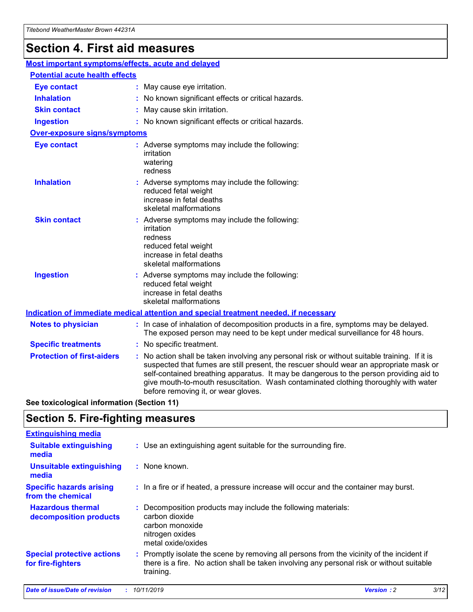# **Section 4. First aid measures**

| Most important symptoms/effects, acute and delayed |  |                                                                                                                                                                                                                                                                                                                                                                                                                 |  |  |
|----------------------------------------------------|--|-----------------------------------------------------------------------------------------------------------------------------------------------------------------------------------------------------------------------------------------------------------------------------------------------------------------------------------------------------------------------------------------------------------------|--|--|
| <b>Potential acute health effects</b>              |  |                                                                                                                                                                                                                                                                                                                                                                                                                 |  |  |
| <b>Eye contact</b>                                 |  | : May cause eye irritation.                                                                                                                                                                                                                                                                                                                                                                                     |  |  |
| <b>Inhalation</b>                                  |  | : No known significant effects or critical hazards.                                                                                                                                                                                                                                                                                                                                                             |  |  |
| <b>Skin contact</b>                                |  | : May cause skin irritation.                                                                                                                                                                                                                                                                                                                                                                                    |  |  |
| <b>Ingestion</b>                                   |  | : No known significant effects or critical hazards.                                                                                                                                                                                                                                                                                                                                                             |  |  |
| Over-exposure signs/symptoms                       |  |                                                                                                                                                                                                                                                                                                                                                                                                                 |  |  |
| <b>Eye contact</b>                                 |  | : Adverse symptoms may include the following:<br>irritation<br>watering<br>redness                                                                                                                                                                                                                                                                                                                              |  |  |
| <b>Inhalation</b>                                  |  | : Adverse symptoms may include the following:<br>reduced fetal weight<br>increase in fetal deaths<br>skeletal malformations                                                                                                                                                                                                                                                                                     |  |  |
| <b>Skin contact</b>                                |  | : Adverse symptoms may include the following:<br>irritation<br>redness<br>reduced fetal weight<br>increase in fetal deaths<br>skeletal malformations                                                                                                                                                                                                                                                            |  |  |
| <b>Ingestion</b>                                   |  | : Adverse symptoms may include the following:<br>reduced fetal weight<br>increase in fetal deaths<br>skeletal malformations                                                                                                                                                                                                                                                                                     |  |  |
|                                                    |  | <b>Indication of immediate medical attention and special treatment needed, if necessary</b>                                                                                                                                                                                                                                                                                                                     |  |  |
| <b>Notes to physician</b>                          |  | : In case of inhalation of decomposition products in a fire, symptoms may be delayed.<br>The exposed person may need to be kept under medical surveillance for 48 hours.                                                                                                                                                                                                                                        |  |  |
| <b>Specific treatments</b>                         |  | : No specific treatment.                                                                                                                                                                                                                                                                                                                                                                                        |  |  |
| <b>Protection of first-aiders</b>                  |  | : No action shall be taken involving any personal risk or without suitable training. If it is<br>suspected that fumes are still present, the rescuer should wear an appropriate mask or<br>self-contained breathing apparatus. It may be dangerous to the person providing aid to<br>give mouth-to-mouth resuscitation. Wash contaminated clothing thoroughly with water<br>before removing it, or wear gloves. |  |  |

**See toxicological information (Section 11)**

### **Section 5. Fire-fighting measures**

| <b>Extinguishing media</b>                             |                                                                                                                                                                                                     |
|--------------------------------------------------------|-----------------------------------------------------------------------------------------------------------------------------------------------------------------------------------------------------|
| <b>Suitable extinguishing</b><br>media                 | : Use an extinguishing agent suitable for the surrounding fire.                                                                                                                                     |
| <b>Unsuitable extinguishing</b><br>media               | : None known.                                                                                                                                                                                       |
| <b>Specific hazards arising</b><br>from the chemical   | : In a fire or if heated, a pressure increase will occur and the container may burst.                                                                                                               |
| <b>Hazardous thermal</b><br>decomposition products     | : Decomposition products may include the following materials:<br>carbon dioxide<br>carbon monoxide<br>nitrogen oxides<br>metal oxide/oxides                                                         |
| <b>Special protective actions</b><br>for fire-fighters | : Promptly isolate the scene by removing all persons from the vicinity of the incident if<br>there is a fire. No action shall be taken involving any personal risk or without suitable<br>training. |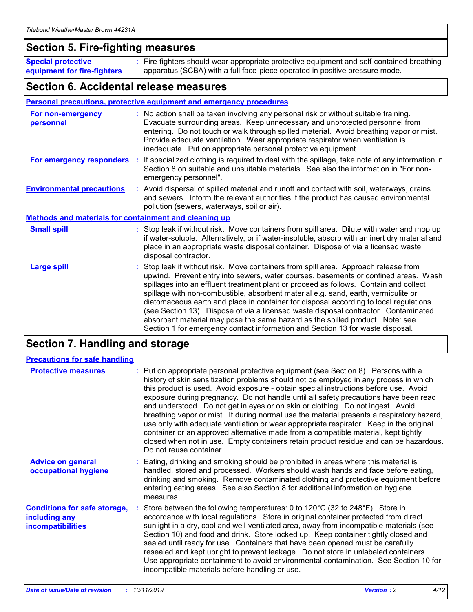### **Section 5. Fire-fighting measures**

**Special protective equipment for fire-fighters** Fire-fighters should wear appropriate protective equipment and self-contained breathing **:** apparatus (SCBA) with a full face-piece operated in positive pressure mode.

### **Section 6. Accidental release measures**

#### **Personal precautions, protective equipment and emergency procedures**

| For non-emergency<br>personnel                               | : No action shall be taken involving any personal risk or without suitable training.<br>Evacuate surrounding areas. Keep unnecessary and unprotected personnel from<br>entering. Do not touch or walk through spilled material. Avoid breathing vapor or mist.<br>Provide adequate ventilation. Wear appropriate respirator when ventilation is<br>inadequate. Put on appropriate personal protective equipment.                                                                                                                                                                                                                                                                                             |
|--------------------------------------------------------------|--------------------------------------------------------------------------------------------------------------------------------------------------------------------------------------------------------------------------------------------------------------------------------------------------------------------------------------------------------------------------------------------------------------------------------------------------------------------------------------------------------------------------------------------------------------------------------------------------------------------------------------------------------------------------------------------------------------|
|                                                              | For emergency responders : If specialized clothing is required to deal with the spillage, take note of any information in<br>Section 8 on suitable and unsuitable materials. See also the information in "For non-<br>emergency personnel".                                                                                                                                                                                                                                                                                                                                                                                                                                                                  |
| <b>Environmental precautions</b>                             | : Avoid dispersal of spilled material and runoff and contact with soil, waterways, drains<br>and sewers. Inform the relevant authorities if the product has caused environmental<br>pollution (sewers, waterways, soil or air).                                                                                                                                                                                                                                                                                                                                                                                                                                                                              |
| <b>Methods and materials for containment and cleaning up</b> |                                                                                                                                                                                                                                                                                                                                                                                                                                                                                                                                                                                                                                                                                                              |
| <b>Small spill</b>                                           | : Stop leak if without risk. Move containers from spill area. Dilute with water and mop up<br>if water-soluble. Alternatively, or if water-insoluble, absorb with an inert dry material and<br>place in an appropriate waste disposal container. Dispose of via a licensed waste<br>disposal contractor.                                                                                                                                                                                                                                                                                                                                                                                                     |
| <b>Large spill</b>                                           | : Stop leak if without risk. Move containers from spill area. Approach release from<br>upwind. Prevent entry into sewers, water courses, basements or confined areas. Wash<br>spillages into an effluent treatment plant or proceed as follows. Contain and collect<br>spillage with non-combustible, absorbent material e.g. sand, earth, vermiculite or<br>diatomaceous earth and place in container for disposal according to local regulations<br>(see Section 13). Dispose of via a licensed waste disposal contractor. Contaminated<br>absorbent material may pose the same hazard as the spilled product. Note: see<br>Section 1 for emergency contact information and Section 13 for waste disposal. |

### **Section 7. Handling and storage**

| <b>Precautions for safe handling</b>                                             |                                                                                                                                                                                                                                                                                                                                                                                                                                                                                                                                                                                                                                                                                                                                                                                                                                                  |
|----------------------------------------------------------------------------------|--------------------------------------------------------------------------------------------------------------------------------------------------------------------------------------------------------------------------------------------------------------------------------------------------------------------------------------------------------------------------------------------------------------------------------------------------------------------------------------------------------------------------------------------------------------------------------------------------------------------------------------------------------------------------------------------------------------------------------------------------------------------------------------------------------------------------------------------------|
| <b>Protective measures</b>                                                       | : Put on appropriate personal protective equipment (see Section 8). Persons with a<br>history of skin sensitization problems should not be employed in any process in which<br>this product is used. Avoid exposure - obtain special instructions before use. Avoid<br>exposure during pregnancy. Do not handle until all safety precautions have been read<br>and understood. Do not get in eyes or on skin or clothing. Do not ingest. Avoid<br>breathing vapor or mist. If during normal use the material presents a respiratory hazard,<br>use only with adequate ventilation or wear appropriate respirator. Keep in the original<br>container or an approved alternative made from a compatible material, kept tightly<br>closed when not in use. Empty containers retain product residue and can be hazardous.<br>Do not reuse container. |
| <b>Advice on general</b><br>occupational hygiene                                 | : Eating, drinking and smoking should be prohibited in areas where this material is<br>handled, stored and processed. Workers should wash hands and face before eating,<br>drinking and smoking. Remove contaminated clothing and protective equipment before<br>entering eating areas. See also Section 8 for additional information on hygiene<br>measures.                                                                                                                                                                                                                                                                                                                                                                                                                                                                                    |
| <b>Conditions for safe storage,</b><br>including any<br><b>incompatibilities</b> | : Store between the following temperatures: 0 to 120 $\degree$ C (32 to 248 $\degree$ F). Store in<br>accordance with local regulations. Store in original container protected from direct<br>sunlight in a dry, cool and well-ventilated area, away from incompatible materials (see<br>Section 10) and food and drink. Store locked up. Keep container tightly closed and<br>sealed until ready for use. Containers that have been opened must be carefully<br>resealed and kept upright to prevent leakage. Do not store in unlabeled containers.<br>Use appropriate containment to avoid environmental contamination. See Section 10 for<br>incompatible materials before handling or use.                                                                                                                                                   |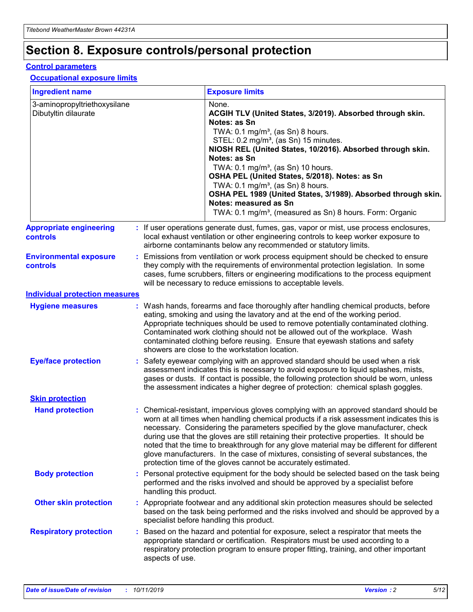# **Section 8. Exposure controls/personal protection**

#### **Control parameters**

#### **Occupational exposure limits**

| <b>Ingredient name</b>                               |    |                        | <b>Exposure limits</b>                                                                                                                                                                                                                                                                                                                                                                                                                                                                                                                                                                                                 |
|------------------------------------------------------|----|------------------------|------------------------------------------------------------------------------------------------------------------------------------------------------------------------------------------------------------------------------------------------------------------------------------------------------------------------------------------------------------------------------------------------------------------------------------------------------------------------------------------------------------------------------------------------------------------------------------------------------------------------|
| 3-aminopropyltriethoxysilane<br>Dibutyltin dilaurate |    |                        | None.<br>ACGIH TLV (United States, 3/2019). Absorbed through skin.<br>Notes: as Sn<br>TWA: 0.1 mg/m <sup>3</sup> , (as Sn) 8 hours.<br>STEL: 0.2 mg/m <sup>3</sup> , (as Sn) 15 minutes.<br>NIOSH REL (United States, 10/2016). Absorbed through skin.<br>Notes: as Sn<br>TWA: 0.1 mg/m <sup>3</sup> , (as Sn) 10 hours.<br>OSHA PEL (United States, 5/2018). Notes: as Sn<br>TWA: $0.1 \text{ mg/m}^3$ , (as Sn) 8 hours.<br>OSHA PEL 1989 (United States, 3/1989). Absorbed through skin.<br>Notes: measured as Sn<br>TWA: 0.1 mg/m <sup>3</sup> , (measured as Sn) 8 hours. Form: Organic                           |
| <b>Appropriate engineering</b><br>controls           |    |                        | : If user operations generate dust, fumes, gas, vapor or mist, use process enclosures,<br>local exhaust ventilation or other engineering controls to keep worker exposure to<br>airborne contaminants below any recommended or statutory limits.                                                                                                                                                                                                                                                                                                                                                                       |
| <b>Environmental exposure</b><br><b>controls</b>     |    |                        | Emissions from ventilation or work process equipment should be checked to ensure<br>they comply with the requirements of environmental protection legislation. In some<br>cases, fume scrubbers, filters or engineering modifications to the process equipment<br>will be necessary to reduce emissions to acceptable levels.                                                                                                                                                                                                                                                                                          |
| <b>Individual protection measures</b>                |    |                        |                                                                                                                                                                                                                                                                                                                                                                                                                                                                                                                                                                                                                        |
| <b>Hygiene measures</b>                              |    |                        | : Wash hands, forearms and face thoroughly after handling chemical products, before<br>eating, smoking and using the lavatory and at the end of the working period.<br>Appropriate techniques should be used to remove potentially contaminated clothing.<br>Contaminated work clothing should not be allowed out of the workplace. Wash<br>contaminated clothing before reusing. Ensure that eyewash stations and safety<br>showers are close to the workstation location.                                                                                                                                            |
| <b>Eye/face protection</b>                           |    |                        | : Safety eyewear complying with an approved standard should be used when a risk<br>assessment indicates this is necessary to avoid exposure to liquid splashes, mists,<br>gases or dusts. If contact is possible, the following protection should be worn, unless<br>the assessment indicates a higher degree of protection: chemical splash goggles.                                                                                                                                                                                                                                                                  |
| <b>Skin protection</b>                               |    |                        |                                                                                                                                                                                                                                                                                                                                                                                                                                                                                                                                                                                                                        |
| <b>Hand protection</b>                               |    |                        | : Chemical-resistant, impervious gloves complying with an approved standard should be<br>worn at all times when handling chemical products if a risk assessment indicates this is<br>necessary. Considering the parameters specified by the glove manufacturer, check<br>during use that the gloves are still retaining their protective properties. It should be<br>noted that the time to breakthrough for any glove material may be different for different<br>glove manufacturers. In the case of mixtures, consisting of several substances, the<br>protection time of the gloves cannot be accurately estimated. |
| <b>Body protection</b>                               |    | handling this product. | Personal protective equipment for the body should be selected based on the task being<br>performed and the risks involved and should be approved by a specialist before                                                                                                                                                                                                                                                                                                                                                                                                                                                |
| <b>Other skin protection</b>                         |    |                        | : Appropriate footwear and any additional skin protection measures should be selected<br>based on the task being performed and the risks involved and should be approved by a<br>specialist before handling this product.                                                                                                                                                                                                                                                                                                                                                                                              |
| <b>Respiratory protection</b>                        | ÷. | aspects of use.        | Based on the hazard and potential for exposure, select a respirator that meets the<br>appropriate standard or certification. Respirators must be used according to a<br>respiratory protection program to ensure proper fitting, training, and other important                                                                                                                                                                                                                                                                                                                                                         |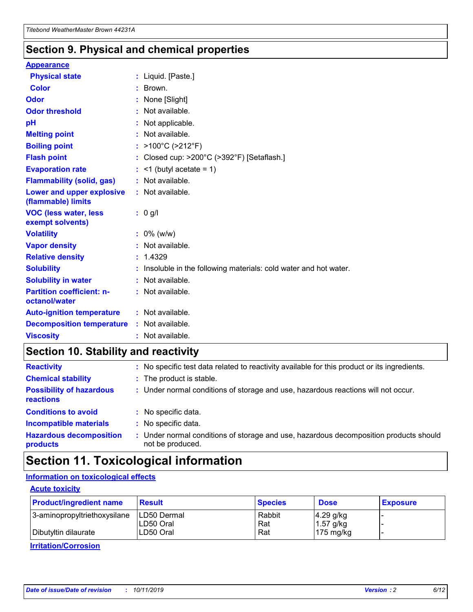### **Section 9. Physical and chemical properties**

#### **Appearance**

| <b>Physical state</b>                             | : Liquid. [Paste.]                                              |
|---------------------------------------------------|-----------------------------------------------------------------|
| <b>Color</b>                                      | Brown.                                                          |
| Odor                                              | None [Slight]                                                   |
| <b>Odor threshold</b>                             | : Not available.                                                |
| рH                                                | : Not applicable.                                               |
| <b>Melting point</b>                              | $:$ Not available.                                              |
| <b>Boiling point</b>                              | : >100°C (>212°F)                                               |
| <b>Flash point</b>                                | : Closed cup: $>200^{\circ}$ C ( $>392^{\circ}$ F) [Setaflash.] |
| <b>Evaporation rate</b>                           | $:$ <1 (butyl acetate = 1)                                      |
| <b>Flammability (solid, gas)</b>                  | : Not available.                                                |
| Lower and upper explosive<br>(flammable) limits   | : Not available.                                                |
| <b>VOC (less water, less</b><br>exempt solvents)  | $: 0$ g/l                                                       |
| <b>Volatility</b>                                 | $: 0\%$ (w/w)                                                   |
| <b>Vapor density</b>                              | : Not available.                                                |
| <b>Relative density</b>                           | : 1.4329                                                        |
| <b>Solubility</b>                                 | Insoluble in the following materials: cold water and hot water. |
| <b>Solubility in water</b>                        | : Not available.                                                |
| <b>Partition coefficient: n-</b><br>octanol/water | : Not available.                                                |
| <b>Auto-ignition temperature</b>                  | : Not available.                                                |
| <b>Decomposition temperature</b>                  | : Not available.                                                |
|                                                   |                                                                 |

### **Section 10. Stability and reactivity**

| <b>Reactivity</b>                            | : No specific test data related to reactivity available for this product or its ingredients.            |
|----------------------------------------------|---------------------------------------------------------------------------------------------------------|
| <b>Chemical stability</b>                    | : The product is stable.                                                                                |
| <b>Possibility of hazardous</b><br>reactions | : Under normal conditions of storage and use, hazardous reactions will not occur.                       |
| <b>Conditions to avoid</b>                   | : No specific data.                                                                                     |
| <b>Incompatible materials</b>                | : No specific data.                                                                                     |
| <b>Hazardous decomposition</b><br>products   | Under normal conditions of storage and use, hazardous decomposition products should<br>not be produced. |

# **Section 11. Toxicological information**

#### **Information on toxicological effects**

#### **Acute toxicity**

| <b>Product/ingredient name</b> | <b>Result</b> | <b>Species</b> | <b>Dose</b>         | <b>Exposure</b> |
|--------------------------------|---------------|----------------|---------------------|-----------------|
| 3-aminopropyltriethoxysilane   | ILD50 Dermal  | Rabbit         | $4.29$ g/kg         |                 |
|                                | ILD50 Oral    | Rat            | $1.57$ g/kg         |                 |
| Dibutyltin dilaurate           | LD50 Oral     | Rat            | $175 \text{ mg/kg}$ |                 |

**Irritation/Corrosion**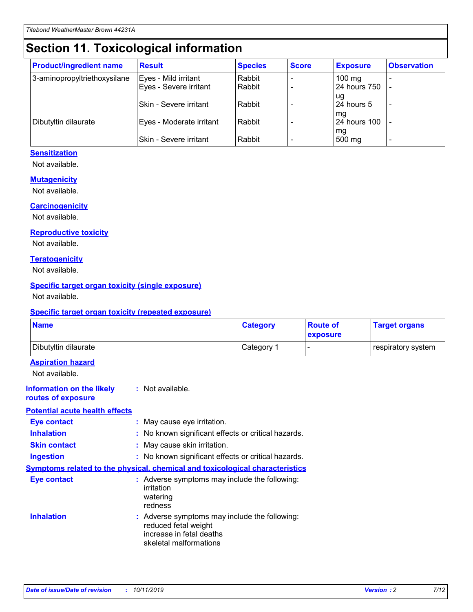# **Section 11. Toxicological information**

| <b>Product/ingredient name</b> | <b>Result</b>            | <b>Species</b> | <b>Score</b> | <b>Exposure</b>     | <b>Observation</b> |
|--------------------------------|--------------------------|----------------|--------------|---------------------|--------------------|
| 3-aminopropyltriethoxysilane   | Eyes - Mild irritant     | Rabbit         |              | $100 \text{ mg}$    |                    |
|                                | Eyes - Severe irritant   | Rabbit         |              | 24 hours 750        |                    |
|                                |                          |                |              | ug                  |                    |
|                                | Skin - Severe irritant   | Rabbit         |              | 24 hours 5          |                    |
|                                |                          |                |              | mq                  |                    |
| Dibutyltin dilaurate           | Eyes - Moderate irritant | Rabbit         |              | <b>24 hours 100</b> |                    |
|                                | Skin - Severe irritant   | Rabbit         |              | mg<br>500 mg        |                    |
|                                |                          |                |              |                     |                    |

#### **Sensitization**

Not available.

#### **Mutagenicity**

Not available.

#### **Carcinogenicity**

Not available.

#### **Reproductive toxicity**

Not available.

#### **Teratogenicity**

Not available.

#### **Specific target organ toxicity (single exposure)**

Not available.

#### **Specific target organ toxicity (repeated exposure)**

| <b>Name</b>                                                                         |                                                                            | <b>Category</b>                                     | <b>Route of</b><br>exposure | <b>Target organs</b> |
|-------------------------------------------------------------------------------------|----------------------------------------------------------------------------|-----------------------------------------------------|-----------------------------|----------------------|
| Dibutyltin dilaurate                                                                |                                                                            | Category 1                                          |                             | respiratory system   |
| <b>Aspiration hazard</b><br>Not available.                                          |                                                                            |                                                     |                             |                      |
| <b>Information on the likely</b><br>routes of exposure                              | : Not available.                                                           |                                                     |                             |                      |
| <b>Potential acute health effects</b>                                               |                                                                            |                                                     |                             |                      |
| <b>Eye contact</b>                                                                  | : May cause eye irritation.                                                |                                                     |                             |                      |
| <b>Inhalation</b>                                                                   |                                                                            | : No known significant effects or critical hazards. |                             |                      |
| <b>Skin contact</b>                                                                 | : May cause skin irritation.                                               |                                                     |                             |                      |
| <b>Ingestion</b>                                                                    |                                                                            | : No known significant effects or critical hazards. |                             |                      |
| <b>Symptoms related to the physical, chemical and toxicological characteristics</b> |                                                                            |                                                     |                             |                      |
| <b>Eye contact</b>                                                                  | irritation<br>watering<br>redness                                          | : Adverse symptoms may include the following:       |                             |                      |
| <b>Inhalation</b>                                                                   | reduced fetal weight<br>increase in fetal deaths<br>skeletal malformations | : Adverse symptoms may include the following:       |                             |                      |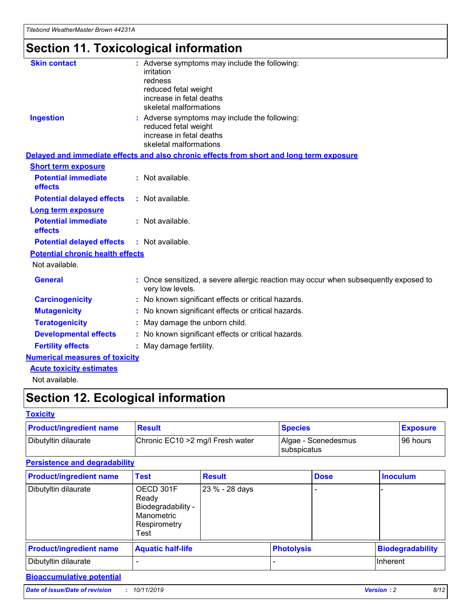# **Section 11. Toxicological information**

| <b>Skin contact</b>                     | : Adverse symptoms may include the following:<br>irritation<br>redness<br>reduced fetal weight<br>increase in fetal deaths<br>skeletal malformations |  |
|-----------------------------------------|------------------------------------------------------------------------------------------------------------------------------------------------------|--|
| <b>Ingestion</b>                        | : Adverse symptoms may include the following:<br>reduced fetal weight<br>increase in fetal deaths<br>skeletal malformations                          |  |
|                                         | Delayed and immediate effects and also chronic effects from short and long term exposure                                                             |  |
| <b>Short term exposure</b>              |                                                                                                                                                      |  |
| <b>Potential immediate</b><br>effects   | : Not available.                                                                                                                                     |  |
| <b>Potential delayed effects</b>        | : Not available.                                                                                                                                     |  |
| <b>Long term exposure</b>               |                                                                                                                                                      |  |
| <b>Potential immediate</b><br>effects   | : Not available.                                                                                                                                     |  |
| <b>Potential delayed effects</b>        | : Not available.                                                                                                                                     |  |
| <b>Potential chronic health effects</b> |                                                                                                                                                      |  |
| Not available.                          |                                                                                                                                                      |  |
| <b>General</b>                          | : Once sensitized, a severe allergic reaction may occur when subsequently exposed to<br>very low levels.                                             |  |
| <b>Carcinogenicity</b>                  | : No known significant effects or critical hazards.                                                                                                  |  |
| <b>Mutagenicity</b>                     | : No known significant effects or critical hazards.                                                                                                  |  |
| <b>Teratogenicity</b>                   | May damage the unborn child.                                                                                                                         |  |
| <b>Developmental effects</b>            | : No known significant effects or critical hazards.                                                                                                  |  |
| <b>Fertility effects</b>                | May damage fertility.                                                                                                                                |  |
| <b>Numerical measures of toxicity</b>   |                                                                                                                                                      |  |
| <b>Acute toxicity estimates</b>         |                                                                                                                                                      |  |
| الملحلة والمستحقق فالمرابط              |                                                                                                                                                      |  |

Not available.

# **Section 12. Ecological information**

#### **Toxicity**

| <b>Product/ingredient name</b> | <b>Result</b>                     | <b>Species</b>                       | <b>Exposure</b> |
|--------------------------------|-----------------------------------|--------------------------------------|-----------------|
| Dibutyltin dilaurate           | Chronic EC10 > 2 mg/l Fresh water | Algae - Scenedesmus<br>I subspicatus | l 96 hours      |

#### **Persistence and degradability**

| <b>Product/ingredient name</b> | <b>Test</b>                                                                    | <b>Result</b>  |                   | <b>Dose</b> | <b>Inoculum</b>         |
|--------------------------------|--------------------------------------------------------------------------------|----------------|-------------------|-------------|-------------------------|
| Dibutyltin dilaurate           | OECD 301F<br>Ready<br>Biodegradability -<br>Manometric<br>Respirometry<br>Test | 23 % - 28 days |                   |             |                         |
| <b>Product/ingredient name</b> | <b>Aquatic half-life</b>                                                       |                | <b>Photolysis</b> |             | <b>Biodegradability</b> |
| Dibutyltin dilaurate           |                                                                                |                |                   |             | Inherent                |

#### **Bioaccumulative potential**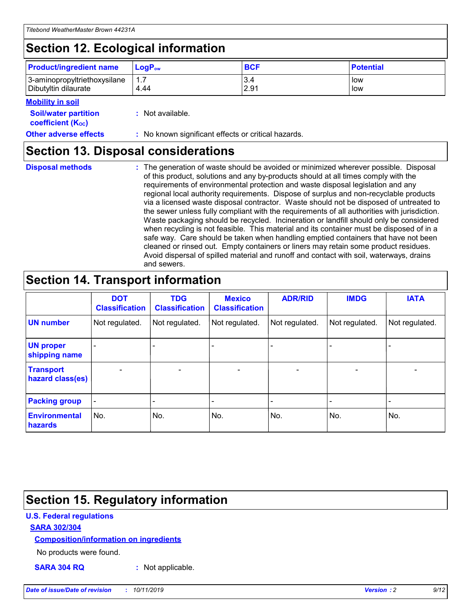# **Section 12. Ecological information**

| <b>Product/ingredient name</b> | $LoaPow$ | <b>BCF</b> | <b>Potential</b> |
|--------------------------------|----------|------------|------------------|
| 3-aminopropyltriethoxysilane   | 1.7      | 3.4        | low              |
| Dibutyltin dilaurate           | 4.44     | 2.91       | low              |

#### **Mobility in soil**

| <b>Soil/water partition</b><br>coefficient (K <sub>oc</sub> ) | : Not available.                                    |
|---------------------------------------------------------------|-----------------------------------------------------|
| <b>Other adverse effects</b>                                  | : No known significant effects or critical hazards. |

### **Section 13. Disposal considerations**

**Disposal methods :**

The generation of waste should be avoided or minimized wherever possible. Disposal of this product, solutions and any by-products should at all times comply with the requirements of environmental protection and waste disposal legislation and any regional local authority requirements. Dispose of surplus and non-recyclable products via a licensed waste disposal contractor. Waste should not be disposed of untreated to the sewer unless fully compliant with the requirements of all authorities with jurisdiction. Waste packaging should be recycled. Incineration or landfill should only be considered when recycling is not feasible. This material and its container must be disposed of in a safe way. Care should be taken when handling emptied containers that have not been cleaned or rinsed out. Empty containers or liners may retain some product residues. Avoid dispersal of spilled material and runoff and contact with soil, waterways, drains and sewers.

# **Section 14. Transport information**

|                                      | <b>DOT</b><br><b>Classification</b> | <b>TDG</b><br><b>Classification</b> | <b>Mexico</b><br><b>Classification</b> | <b>ADR/RID</b>               | <b>IMDG</b>    | <b>IATA</b>              |
|--------------------------------------|-------------------------------------|-------------------------------------|----------------------------------------|------------------------------|----------------|--------------------------|
| <b>UN number</b>                     | Not regulated.                      | Not regulated.                      | Not regulated.                         | Not regulated.               | Not regulated. | Not regulated.           |
| <b>UN proper</b><br>shipping name    |                                     |                                     |                                        |                              |                |                          |
| <b>Transport</b><br>hazard class(es) | $\blacksquare$                      | $\overline{\phantom{0}}$            | $\overline{\phantom{a}}$               | $\qquad \qquad \blacksquare$ | $\blacksquare$ | $\overline{\phantom{0}}$ |
| <b>Packing group</b>                 | $\overline{\phantom{a}}$            | -                                   |                                        | -                            |                | -                        |
| <b>Environmental</b><br>hazards      | No.                                 | No.                                 | No.                                    | No.                          | No.            | No.                      |

# **Section 15. Regulatory information**

#### **U.S. Federal regulations**

#### **SARA 302/304**

#### **Composition/information on ingredients**

No products were found.

**SARA 304 RQ :** Not applicable.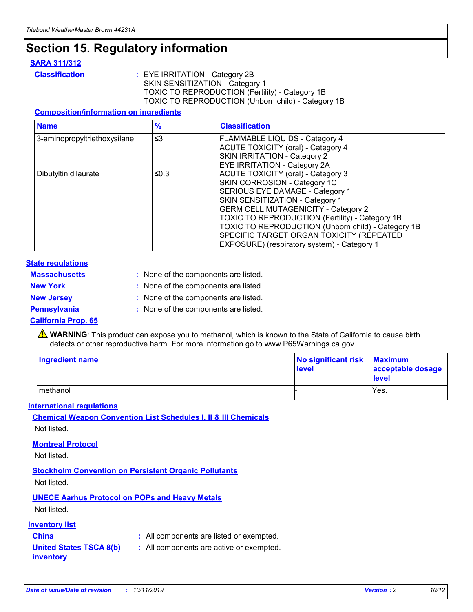# **Section 15. Regulatory information**

#### **SARA 311/312**

**Classification :** EYE IRRITATION - Category 2B SKIN SENSITIZATION - Category 1 TOXIC TO REPRODUCTION (Fertility) - Category 1B TOXIC TO REPRODUCTION (Unborn child) - Category 1B

#### **Composition/information on ingredients**

| <b>Name</b>                  | $\frac{9}{6}$ | <b>Classification</b>                                                                                                                                                                                                                                                                                                                  |  |
|------------------------------|---------------|----------------------------------------------------------------------------------------------------------------------------------------------------------------------------------------------------------------------------------------------------------------------------------------------------------------------------------------|--|
| 3-aminopropyltriethoxysilane | $\leq$ 3      | <b>FLAMMABLE LIQUIDS - Category 4</b><br><b>ACUTE TOXICITY (oral) - Category 4</b><br>SKIN IRRITATION - Category 2                                                                                                                                                                                                                     |  |
| Dibutyltin dilaurate         | ≤0.3          | EYE IRRITATION - Category 2A<br><b>ACUTE TOXICITY (oral) - Category 3</b><br>SKIN CORROSION - Category 1C<br>SERIOUS EYE DAMAGE - Category 1<br>SKIN SENSITIZATION - Category 1<br><b>GERM CELL MUTAGENICITY - Category 2</b><br>TOXIC TO REPRODUCTION (Fertility) - Category 1B<br>TOXIC TO REPRODUCTION (Unborn child) - Category 1B |  |
|                              |               | SPECIFIC TARGET ORGAN TOXICITY (REPEATED<br>EXPOSURE) (respiratory system) - Category 1                                                                                                                                                                                                                                                |  |

#### **State regulations**

| <b>Massachusetts</b> | : None of the components are listed. |
|----------------------|--------------------------------------|
| <b>New York</b>      | : None of the components are listed. |
| <b>New Jersey</b>    | : None of the components are listed. |
| Pennsylvania         | : None of the components are listed. |

#### **California Prop. 65**

**A** WARNING: This product can expose you to methanol, which is known to the State of California to cause birth defects or other reproductive harm. For more information go to www.P65Warnings.ca.gov.

| <b>Ingredient name</b> | No significant risk Maximum<br>level | acceptable dosage<br>level |
|------------------------|--------------------------------------|----------------------------|
| methanol               |                                      | Yes.                       |

#### **International regulations**

**Chemical Weapon Convention List Schedules I, II & III Chemicals** Not listed.

#### **Montreal Protocol**

Not listed.

**Stockholm Convention on Persistent Organic Pollutants**

Not listed.

#### **UNECE Aarhus Protocol on POPs and Heavy Metals**

Not listed.

#### **Inventory list**

### **China :** All components are listed or exempted.

**United States TSCA 8(b) inventory :** All components are active or exempted.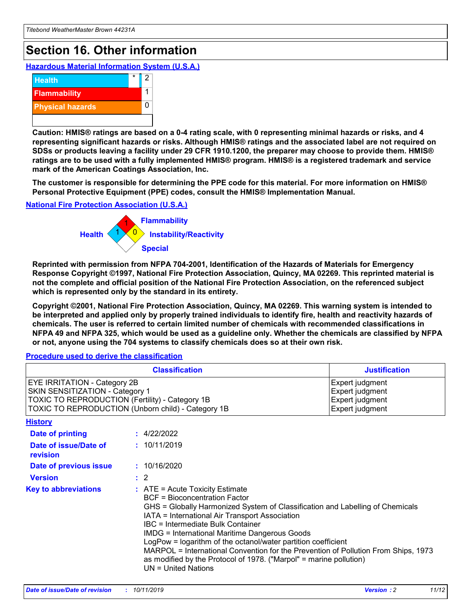# **Section 16. Other information**

**Hazardous Material Information System (U.S.A.)**



**Caution: HMIS® ratings are based on a 0-4 rating scale, with 0 representing minimal hazards or risks, and 4 representing significant hazards or risks. Although HMIS® ratings and the associated label are not required on SDSs or products leaving a facility under 29 CFR 1910.1200, the preparer may choose to provide them. HMIS® ratings are to be used with a fully implemented HMIS® program. HMIS® is a registered trademark and service mark of the American Coatings Association, Inc.**

**The customer is responsible for determining the PPE code for this material. For more information on HMIS® Personal Protective Equipment (PPE) codes, consult the HMIS® Implementation Manual.**

#### **National Fire Protection Association (U.S.A.)**



**Reprinted with permission from NFPA 704-2001, Identification of the Hazards of Materials for Emergency Response Copyright ©1997, National Fire Protection Association, Quincy, MA 02269. This reprinted material is not the complete and official position of the National Fire Protection Association, on the referenced subject which is represented only by the standard in its entirety.**

**Copyright ©2001, National Fire Protection Association, Quincy, MA 02269. This warning system is intended to be interpreted and applied only by properly trained individuals to identify fire, health and reactivity hazards of chemicals. The user is referred to certain limited number of chemicals with recommended classifications in NFPA 49 and NFPA 325, which would be used as a guideline only. Whether the chemicals are classified by NFPA or not, anyone using the 704 systems to classify chemicals does so at their own risk.**

#### **Procedure used to derive the classification**

| <b>Classification</b>                                                                                                                                                                  |                                                                                                                                                                                                                                                                   | <b>Justification</b>                                                                                                                                                                                                                                                                                       |  |
|----------------------------------------------------------------------------------------------------------------------------------------------------------------------------------------|-------------------------------------------------------------------------------------------------------------------------------------------------------------------------------------------------------------------------------------------------------------------|------------------------------------------------------------------------------------------------------------------------------------------------------------------------------------------------------------------------------------------------------------------------------------------------------------|--|
| <b>EYE IRRITATION - Category 2B</b><br>SKIN SENSITIZATION - Category 1<br><b>TOXIC TO REPRODUCTION (Fertility) - Category 1B</b><br>TOXIC TO REPRODUCTION (Unborn child) - Category 1B |                                                                                                                                                                                                                                                                   | Expert judgment<br>Expert judgment<br>Expert judgment<br>Expert judgment                                                                                                                                                                                                                                   |  |
| <b>History</b>                                                                                                                                                                         |                                                                                                                                                                                                                                                                   |                                                                                                                                                                                                                                                                                                            |  |
| Date of printing                                                                                                                                                                       | : 4/22/2022                                                                                                                                                                                                                                                       |                                                                                                                                                                                                                                                                                                            |  |
| Date of issue/Date of<br>revision                                                                                                                                                      | : 10/11/2019                                                                                                                                                                                                                                                      |                                                                                                                                                                                                                                                                                                            |  |
| Date of previous issue                                                                                                                                                                 | : 10/16/2020                                                                                                                                                                                                                                                      |                                                                                                                                                                                                                                                                                                            |  |
| <b>Version</b>                                                                                                                                                                         | $\therefore$ 2                                                                                                                                                                                                                                                    |                                                                                                                                                                                                                                                                                                            |  |
| <b>Key to abbreviations</b>                                                                                                                                                            | $\therefore$ ATE = Acute Toxicity Estimate<br><b>BCF</b> = Bioconcentration Factor<br>IATA = International Air Transport Association<br><b>IBC</b> = Intermediate Bulk Container<br><b>IMDG = International Maritime Dangerous Goods</b><br>$UN = United Nations$ | GHS = Globally Harmonized System of Classification and Labelling of Chemicals<br>LogPow = logarithm of the octanol/water partition coefficient<br>MARPOL = International Convention for the Prevention of Pollution From Ships, 1973<br>as modified by the Protocol of 1978. ("Marpol" = marine pollution) |  |